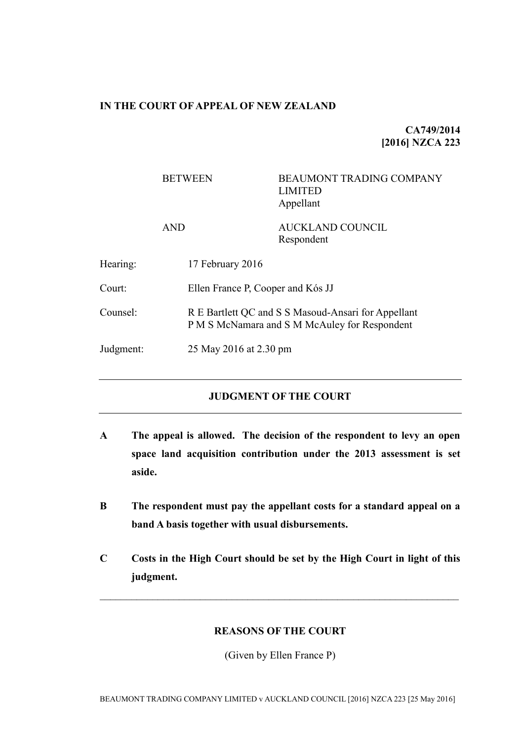### **IN THE COURT OF APPEAL OF NEW ZEALAND**

**CA749/2014 [2016] NZCA 223**

|           | <b>BETWEEN</b>   | <b>BEAUMONT TRADING COMPANY</b><br><b>LIMITED</b><br>Appellant                                       |  |
|-----------|------------------|------------------------------------------------------------------------------------------------------|--|
|           | <b>AND</b>       | <b>AUCKLAND COUNCIL</b><br>Respondent                                                                |  |
| Hearing:  | 17 February 2016 |                                                                                                      |  |
| Court:    |                  | Ellen France P, Cooper and Kós JJ                                                                    |  |
| Counsel:  |                  | R E Bartlett QC and S S Masoud-Ansari for Appellant<br>P M S McNamara and S M McAuley for Respondent |  |
| Judgment: |                  | 25 May 2016 at 2.30 pm                                                                               |  |

# **JUDGMENT OF THE COURT**

- **A The appeal is allowed. The decision of the respondent to levy an open space land acquisition contribution under the 2013 assessment is set aside.**
- **B The respondent must pay the appellant costs for a standard appeal on a band A basis together with usual disbursements.**
- **C Costs in the High Court should be set by the High Court in light of this judgment.**

 $\mathcal{L}_\text{max} = \mathcal{L}_\text{max} = \mathcal{L}_\text{max} = \mathcal{L}_\text{max} = \mathcal{L}_\text{max} = \mathcal{L}_\text{max} = \mathcal{L}_\text{max} = \mathcal{L}_\text{max} = \mathcal{L}_\text{max} = \mathcal{L}_\text{max} = \mathcal{L}_\text{max} = \mathcal{L}_\text{max} = \mathcal{L}_\text{max} = \mathcal{L}_\text{max} = \mathcal{L}_\text{max} = \mathcal{L}_\text{max} = \mathcal{L}_\text{max} = \mathcal{L}_\text{max} = \mathcal{$ 

# **REASONS OF THE COURT**

(Given by Ellen France P)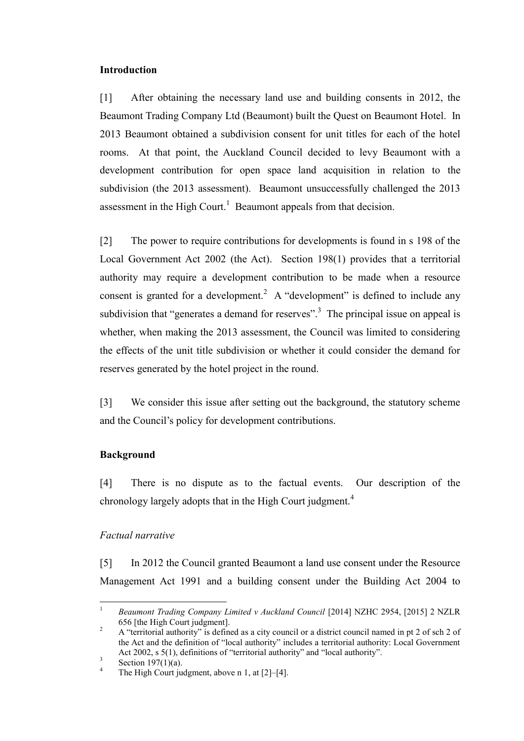### **Introduction**

[1] After obtaining the necessary land use and building consents in 2012, the Beaumont Trading Company Ltd (Beaumont) built the Quest on Beaumont Hotel. In 2013 Beaumont obtained a subdivision consent for unit titles for each of the hotel rooms. At that point, the Auckland Council decided to levy Beaumont with a development contribution for open space land acquisition in relation to the subdivision (the 2013 assessment). Beaumont unsuccessfully challenged the 2013 assessment in the High Court.<sup>1</sup> Beaumont appeals from that decision.

<span id="page-1-0"></span>[2] The power to require contributions for developments is found in s 198 of the Local Government Act 2002 (the Act). Section 198(1) provides that a territorial authority may require a development contribution to be made when a resource consent is granted for a development.<sup>2</sup> A "development" is defined to include any subdivision that "generates a demand for reserves".<sup>3</sup> The principal issue on appeal is whether, when making the 2013 assessment, the Council was limited to considering the effects of the unit title subdivision or whether it could consider the demand for reserves generated by the hotel project in the round.

[3] We consider this issue after setting out the background, the statutory scheme and the Council's policy for development contributions.

# **Background**

[4] There is no dispute as to the factual events. Our description of the chronology largely adopts that in the High Court judgment.<sup>4</sup>

# *Factual narrative*

[5] In 2012 the Council granted Beaumont a land use consent under the Resource Management Act 1991 and a building consent under the Building Act 2004 to

 $\overline{a}$ <sup>1</sup> *Beaumont Trading Company Limited v Auckland Council* [2014] NZHC 2954, [2015] 2 NZLR 656 [the High Court judgment].

<sup>&</sup>lt;sup>2</sup> A "territorial authority" is defined as a city council or a district council named in pt 2 of sch 2 of the Act and the definition of "local authority" includes a territorial authority: Local Government Act 2002, s 5(1), definitions of "territorial authority" and "local authority".

<sup>3</sup> Section 197(1)(a).

<sup>&</sup>lt;sup>4</sup> The High Court judgment, above n [1,](#page-1-0) at  $[2]-[4]$ .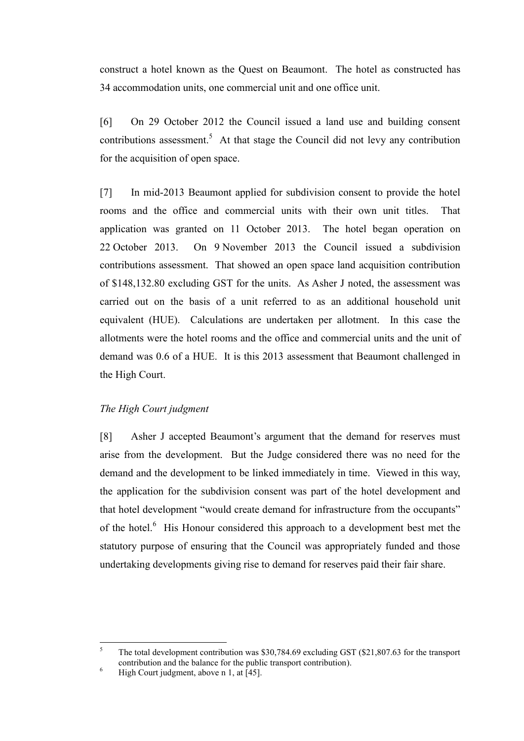construct a hotel known as the Quest on Beaumont. The hotel as constructed has 34 accommodation units, one commercial unit and one office unit.

[6] On 29 October 2012 the Council issued a land use and building consent contributions assessment.<sup>5</sup> At that stage the Council did not levy any contribution for the acquisition of open space.

[7] In mid-2013 Beaumont applied for subdivision consent to provide the hotel rooms and the office and commercial units with their own unit titles. That application was granted on 11 October 2013. The hotel began operation on 22 October 2013. On 9 November 2013 the Council issued a subdivision contributions assessment. That showed an open space land acquisition contribution of \$148,132.80 excluding GST for the units. As Asher J noted, the assessment was carried out on the basis of a unit referred to as an additional household unit equivalent (HUE). Calculations are undertaken per allotment. In this case the allotments were the hotel rooms and the office and commercial units and the unit of demand was 0.6 of a HUE. It is this 2013 assessment that Beaumont challenged in the High Court.

### *The High Court judgment*

[8] Asher J accepted Beaumont's argument that the demand for reserves must arise from the development. But the Judge considered there was no need for the demand and the development to be linked immediately in time. Viewed in this way, the application for the subdivision consent was part of the hotel development and that hotel development "would create demand for infrastructure from the occupants" of the hotel.<sup>6</sup> His Honour considered this approach to a development best met the statutory purpose of ensuring that the Council was appropriately funded and those undertaking developments giving rise to demand for reserves paid their fair share.

<sup>5</sup> <sup>5</sup> The total development contribution was \$30,784.69 excluding GST (\$21,807.63 for the transport contribution and the balance for the public transport contribution).

<sup>&</sup>lt;sup>6</sup> High Court judgment, above n 1, at  $\overline{[45]}$ .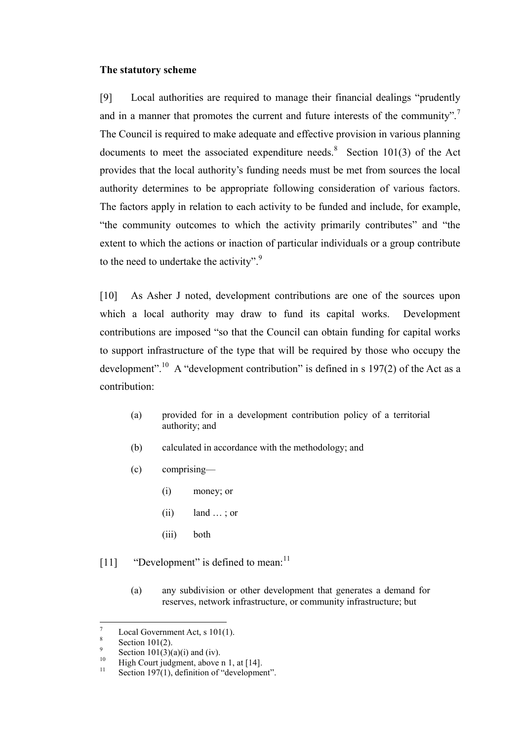#### **The statutory scheme**

[9] Local authorities are required to manage their financial dealings "prudently and in a manner that promotes the current and future interests of the community".<sup>7</sup> The Council is required to make adequate and effective provision in various planning documents to meet the associated expenditure needs. <sup>8</sup> Section 101(3) of the Act provides that the local authority's funding needs must be met from sources the local authority determines to be appropriate following consideration of various factors. The factors apply in relation to each activity to be funded and include, for example, "the community outcomes to which the activity primarily contributes" and "the extent to which the actions or inaction of particular individuals or a group contribute to the need to undertake the activity". $9$ 

[10] As Asher J noted, development contributions are one of the sources upon which a local authority may draw to fund its capital works. Development contributions are imposed "so that the Council can obtain funding for capital works to support infrastructure of the type that will be required by those who occupy the development".<sup>10</sup> A "development contribution" is defined in s 197(2) of the Act as a contribution:

- (a) provided for in a development contribution policy of a territorial authority; and
- (b) calculated in accordance with the methodology; and
- (c) comprising—
	- (i) money; or
	- $(ii)$  land  $\ldots$ ; or
	- (iii) both
- [11] "Development" is defined to mean:<sup>11</sup>
	- (a) any subdivision or other development that generates a demand for reserves, network infrastructure, or community infrastructure; but

 $\overline{a}$ 

Local Government Act, s 101(1).

<sup>8</sup> Section 101(2).

<sup>9</sup> Section  $101(3)(a)(i)$  and (iv).

<sup>&</sup>lt;sup>10</sup> High Court judgment, above n [1,](#page-1-0) at [14].<br><sup>11</sup> Section 107(1), definition of "development"

Section 197(1), definition of "development".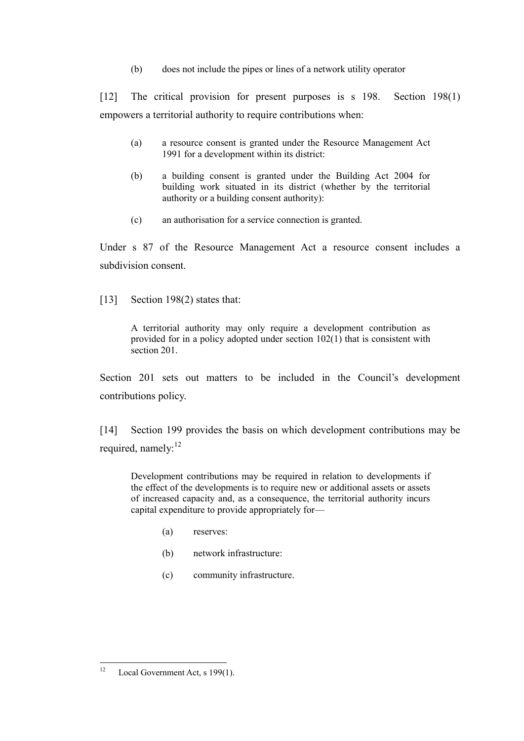(b) does not include the pipes or lines of a network utility operator

[12] The critical provision for present purposes is s 198. Section 198(1) empowers a territorial authority to require contributions when:

- (a) a resource consent is granted under the Resource Management Act 1991 for a development within its district:
- (b) a building consent is granted under the Building Act 2004 for building work situated in its district (whether by the territorial authority or a building consent authority):
- (c) an authorisation for a service connection is granted.

Under s 87 of the Resource Management Act a resource consent includes a subdivision consent.

[13] Section 198(2) states that:

A territorial authority may only require a development contribution as provided for in a policy adopted under section 102(1) that is consistent with section 201.

Section 201 sets out matters to be included in the Council's development contributions policy.

[14] Section 199 provides the basis on which development contributions may be required, namely:<sup>12</sup>

Development contributions may be required in relation to developments if the effect of the developments is to require new or additional assets or assets of increased capacity and, as a consequence, the territorial authority incurs capital expenditure to provide appropriately for—

- (a) reserves:
- (b) network infrastructure:
- (c) community infrastructure.

 $12$ Local Government Act, s 199(1).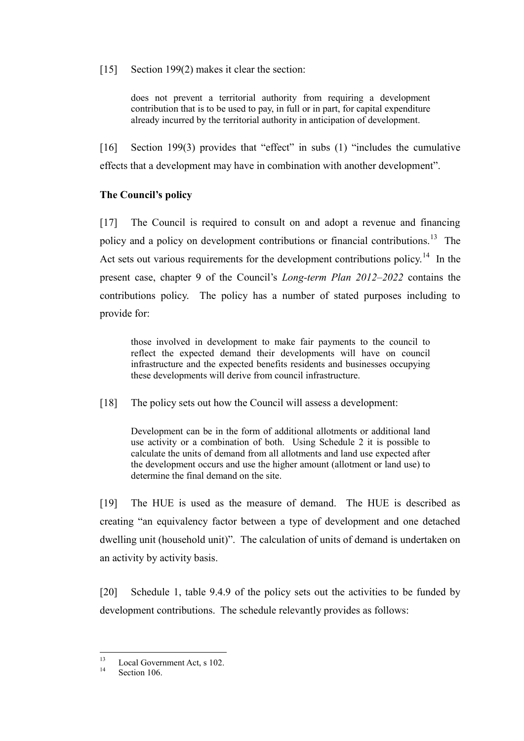[15] Section 199(2) makes it clear the section:

does not prevent a territorial authority from requiring a development contribution that is to be used to pay, in full or in part, for capital expenditure already incurred by the territorial authority in anticipation of development.

[16] Section 199(3) provides that "effect" in subs (1) "includes the cumulative effects that a development may have in combination with another development".

# **The Council's policy**

[17] The Council is required to consult on and adopt a revenue and financing policy and a policy on development contributions or financial contributions.<sup>13</sup> The Act sets out various requirements for the development contributions policy.<sup>14</sup> In the present case, chapter 9 of the Council's *Long-term Plan 2012–2022* contains the contributions policy. The policy has a number of stated purposes including to provide for:

those involved in development to make fair payments to the council to reflect the expected demand their developments will have on council infrastructure and the expected benefits residents and businesses occupying these developments will derive from council infrastructure.

[18] The policy sets out how the Council will assess a development:

Development can be in the form of additional allotments or additional land use activity or a combination of both. Using Schedule 2 it is possible to calculate the units of demand from all allotments and land use expected after the development occurs and use the higher amount (allotment or land use) to determine the final demand on the site.

[19] The HUE is used as the measure of demand. The HUE is described as creating "an equivalency factor between a type of development and one detached dwelling unit (household unit)". The calculation of units of demand is undertaken on an activity by activity basis.

[20] Schedule 1, table 9.4.9 of the policy sets out the activities to be funded by development contributions. The schedule relevantly provides as follows:

 $13$  $\frac{13}{14}$  Local Government Act, s 102.

Section 106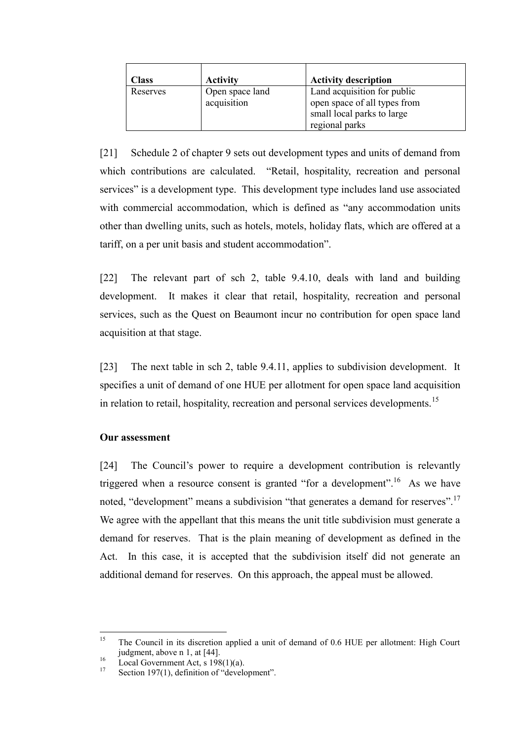| <b>Class</b> | <b>Activity</b>                | <b>Activity description</b>                                                                                 |
|--------------|--------------------------------|-------------------------------------------------------------------------------------------------------------|
| Reserves     | Open space land<br>acquisition | Land acquisition for public<br>open space of all types from<br>small local parks to large<br>regional parks |

[21] Schedule 2 of chapter 9 sets out development types and units of demand from which contributions are calculated. "Retail, hospitality, recreation and personal services" is a development type. This development type includes land use associated with commercial accommodation, which is defined as "any accommodation units" other than dwelling units, such as hotels, motels, holiday flats, which are offered at a tariff, on a per unit basis and student accommodation".

[22] The relevant part of sch 2, table 9.4.10, deals with land and building development. It makes it clear that retail, hospitality, recreation and personal services, such as the Quest on Beaumont incur no contribution for open space land acquisition at that stage.

[23] The next table in sch 2, table 9.4.11, applies to subdivision development. It specifies a unit of demand of one HUE per allotment for open space land acquisition in relation to retail, hospitality, recreation and personal services developments.<sup>15</sup>

### **Our assessment**

[24] The Council's power to require a development contribution is relevantly triggered when a resource consent is granted "for a development".<sup>16</sup> As we have noted, "development" means a subdivision "that generates a demand for reserves".<sup>17</sup> We agree with the appellant that this means the unit title subdivision must generate a demand for reserves. That is the plain meaning of development as defined in the Act. In this case, it is accepted that the subdivision itself did not generate an additional demand for reserves. On this approach, the appeal must be allowed.

<sup>15</sup> <sup>15</sup> The Council in its discretion applied a unit of demand of 0.6 HUE per allotment: High Court judgment, above n [1,](#page-1-0) at [44].

 $16 \qquad \text{Local Government Act, s} \qquad 198(1)(a).$ <br>  $17 \qquad \text{Section 107(1)} \qquad \text{definition of "davel}$ 

Section 197(1), definition of "development".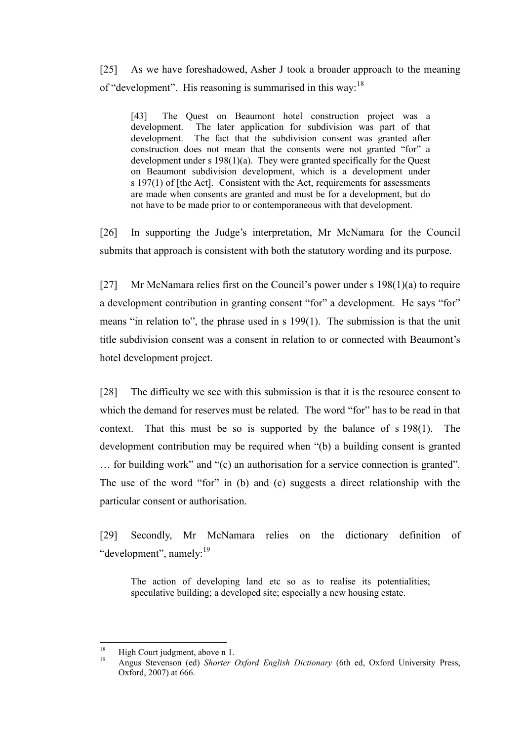[25] As we have foreshadowed, Asher J took a broader approach to the meaning of "development". His reasoning is summarised in this way:  $18$ 

[43] The Quest on Beaumont hotel construction project was a development. The later application for subdivision was part of that development. The fact that the subdivision consent was granted after construction does not mean that the consents were not granted "for" a development under s  $198(1)(a)$ . They were granted specifically for the Quest on Beaumont subdivision development, which is a development under s 197(1) of [the Act]. Consistent with the Act, requirements for assessments are made when consents are granted and must be for a development, but do not have to be made prior to or contemporaneous with that development.

[26] In supporting the Judge's interpretation, Mr McNamara for the Council submits that approach is consistent with both the statutory wording and its purpose.

[27] Mr McNamara relies first on the Council's power under s 198(1)(a) to require a development contribution in granting consent "for" a development. He says "for" means "in relation to", the phrase used in s 199(1). The submission is that the unit title subdivision consent was a consent in relation to or connected with Beaumont's hotel development project.

[28] The difficulty we see with this submission is that it is the resource consent to which the demand for reserves must be related. The word "for" has to be read in that context. That this must be so is supported by the balance of s 198(1). The development contribution may be required when "(b) a building consent is granted … for building work" and "(c) an authorisation for a service connection is granted". The use of the word "for" in (b) and (c) suggests a direct relationship with the particular consent or authorisation.

[29] Secondly, Mr McNamara relies on the dictionary definition of "development", namely:<sup>19</sup>

The action of developing land etc so as to realise its potentialities; speculative building; a developed site; especially a new housing estate.

<sup>18</sup> <sup>18</sup> High Court judgment, above n [1.](#page-1-0)

<sup>19</sup> Angus Stevenson (ed) *Shorter Oxford English Dictionary* (6th ed, Oxford University Press, Oxford, 2007) at 666.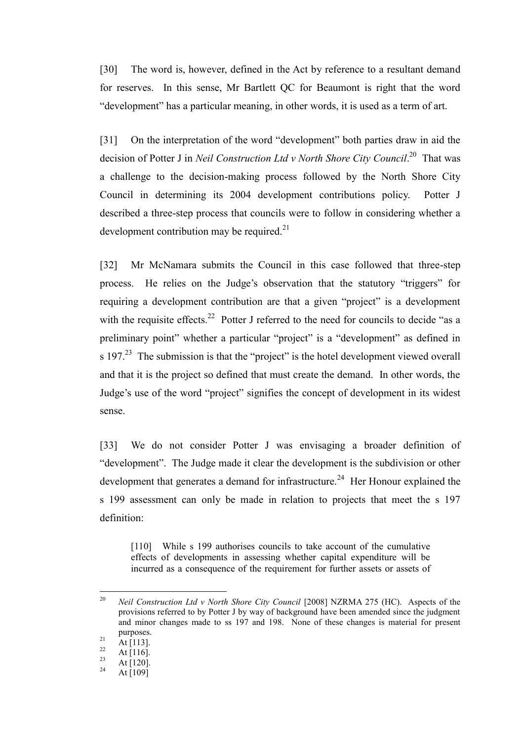[30] The word is, however, defined in the Act by reference to a resultant demand for reserves. In this sense, Mr Bartlett QC for Beaumont is right that the word "development" has a particular meaning, in other words, it is used as a term of art.

[31] On the interpretation of the word "development" both parties draw in aid the decision of Potter J in *Neil Construction Ltd v North Shore City Council*.<sup>20</sup> That was a challenge to the decision-making process followed by the North Shore City Council in determining its 2004 development contributions policy. Potter J described a three-step process that councils were to follow in considering whether a development contribution may be required. $21$ 

[32] Mr McNamara submits the Council in this case followed that three-step process. He relies on the Judge's observation that the statutory "triggers" for requiring a development contribution are that a given "project" is a development with the requisite effects.<sup>22</sup> Potter J referred to the need for councils to decide "as a preliminary point" whether a particular "project" is a "development" as defined in s 197.<sup>23</sup> The submission is that the "project" is the hotel development viewed overall and that it is the project so defined that must create the demand. In other words, the Judge's use of the word "project" signifies the concept of development in its widest sense.

[33] We do not consider Potter J was envisaging a broader definition of "development". The Judge made it clear the development is the subdivision or other development that generates a demand for infrastructure.<sup>24</sup> Her Honour explained the s 199 assessment can only be made in relation to projects that meet the s 197 definition:

[110] While s 199 authorises councils to take account of the cumulative effects of developments in assessing whether capital expenditure will be incurred as a consequence of the requirement for further assets or assets of

<sup>20</sup> <sup>20</sup> *Neil Construction Ltd v North Shore City Council* [2008] NZRMA 275 (HC). Aspects of the provisions referred to by Potter J by way of background have been amended since the judgment and minor changes made to ss 197 and 198. None of these changes is material for present purposes.

 $21$  At [113].

 $\frac{22}{23}$  At [116].

 $\frac{23}{24}$  At [120]. At  $[109]$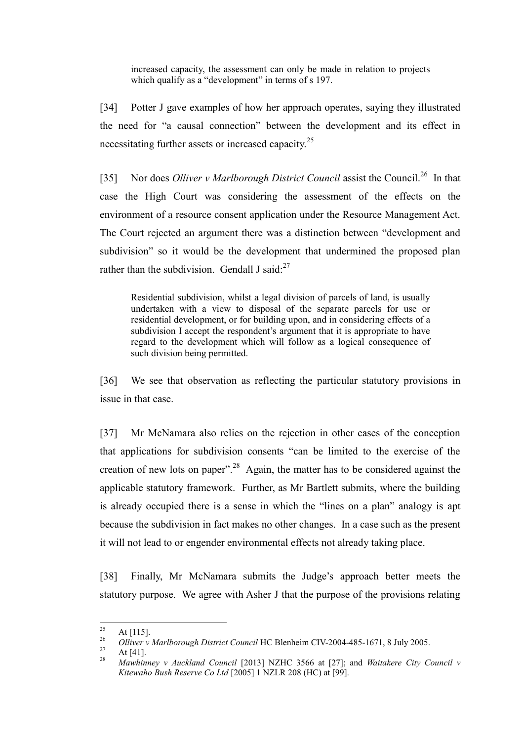increased capacity, the assessment can only be made in relation to projects which qualify as a "development" in terms of s 197.

[34] Potter J gave examples of how her approach operates, saying they illustrated the need for "a causal connection" between the development and its effect in necessitating further assets or increased capacity.<sup>25</sup>

[35] Nor does *Olliver v Marlborough District Council* assist the Council.<sup>26</sup> In that case the High Court was considering the assessment of the effects on the environment of a resource consent application under the Resource Management Act. The Court rejected an argument there was a distinction between "development and subdivision" so it would be the development that undermined the proposed plan rather than the subdivision. Gendall J said: $27$ 

Residential subdivision, whilst a legal division of parcels of land, is usually undertaken with a view to disposal of the separate parcels for use or residential development, or for building upon, and in considering effects of a subdivision I accept the respondent's argument that it is appropriate to have regard to the development which will follow as a logical consequence of such division being permitted.

[36] We see that observation as reflecting the particular statutory provisions in issue in that case.

[37] Mr McNamara also relies on the rejection in other cases of the conception that applications for subdivision consents "can be limited to the exercise of the creation of new lots on paper".<sup>28</sup> Again, the matter has to be considered against the applicable statutory framework. Further, as Mr Bartlett submits, where the building is already occupied there is a sense in which the "lines on a plan" analogy is apt because the subdivision in fact makes no other changes. In a case such as the present it will not lead to or engender environmental effects not already taking place.

[38] Finally, Mr McNamara submits the Judge's approach better meets the statutory purpose. We agree with Asher J that the purpose of the provisions relating

<sup>25</sup>  $\frac{25}{26}$  At [115].

<sup>&</sup>lt;sup>26</sup> *Olliver v Marlborough District Council* HC Blenheim CIV-2004-485-1671, 8 July 2005.

 $\frac{27}{28}$  At [41].

<sup>28</sup> *Mawhinney v Auckland Council* [2013] NZHC 3566 at [27]; and *Waitakere City Council v Kitewaho Bush Reserve Co Ltd* [2005] 1 NZLR 208 (HC) at [99].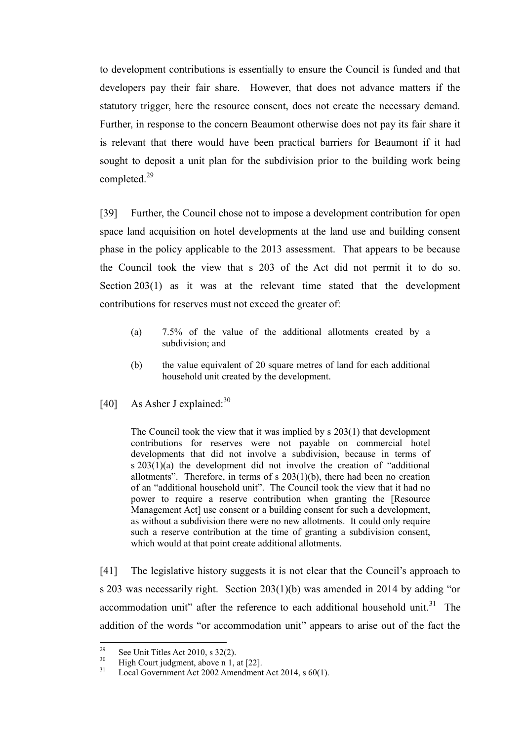to development contributions is essentially to ensure the Council is funded and that developers pay their fair share. However, that does not advance matters if the statutory trigger, here the resource consent, does not create the necessary demand. Further, in response to the concern Beaumont otherwise does not pay its fair share it is relevant that there would have been practical barriers for Beaumont if it had sought to deposit a unit plan for the subdivision prior to the building work being completed. 29

[39] Further, the Council chose not to impose a development contribution for open space land acquisition on hotel developments at the land use and building consent phase in the policy applicable to the 2013 assessment. That appears to be because the Council took the view that s 203 of the Act did not permit it to do so. Section 203(1) as it was at the relevant time stated that the development contributions for reserves must not exceed the greater of:

- (a) 7.5% of the value of the additional allotments created by a subdivision; and
- (b) the value equivalent of 20 square metres of land for each additional household unit created by the development.
- [40] As Asher J explained: $30$

The Council took the view that it was implied by s 203(1) that development contributions for reserves were not payable on commercial hotel developments that did not involve a subdivision, because in terms of s 203(1)(a) the development did not involve the creation of "additional allotments". Therefore, in terms of  $s$  203(1)(b), there had been no creation of an "additional household unit". The Council took the view that it had no power to require a reserve contribution when granting the [Resource Management Act] use consent or a building consent for such a development, as without a subdivision there were no new allotments. It could only require such a reserve contribution at the time of granting a subdivision consent, which would at that point create additional allotments.

[41] The legislative history suggests it is not clear that the Council's approach to s 203 was necessarily right. Section 203(1)(b) was amended in 2014 by adding "or accommodation unit" after the reference to each additional household unit.<sup>31</sup> The addition of the words "or accommodation unit" appears to arise out of the fact the

<sup>29</sup> <sup>29</sup> See Unit Titles Act 2010, s 32(2).

 $^{30}$  High Court judgment, above n [1,](#page-1-0) at [22].

Local Government Act 2002 Amendment Act 2014, s 60(1).